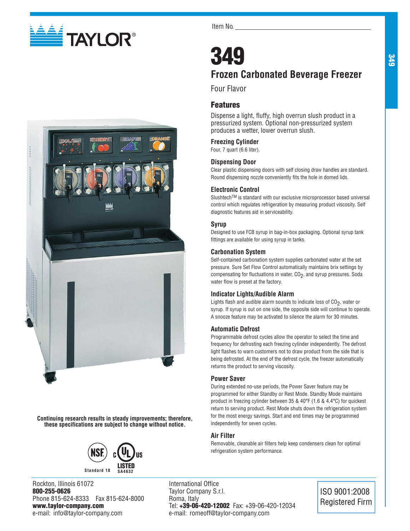



**Continuing research results in steady improvements; therefore, these specifications are subject to change without notice.**



Rockton, Illinois 61072 800-255-0626 Phone 815-624-8333 Fax 815-624-8000 www.taylor-company.com e-mail: info@taylor-company.com

Item No.

## 349 **Frozen Carbonated Beverage Freezer**

Four Flavor

## Features

Dispense a light, fluffy, high overrun slush product in a pressurized system. Optional non-pressurized system produces a wetter, lower overrun slush.

## **Freezing Cylinder**

Four, 7 quart (6.6 liter).

## **Dispensing Door**

Clear plastic dispensing doors with self closing draw handles are standard. Round dispensing nozzle conveniently fits the hole in domed lids.

## **Electronic Control**

SlushtechTM is standard with our exclusive microprocessor based universal control which regulates refrigeration by measuring product viscosity. Self diagnostic features aid in serviceability.

## **Syrup**

Designed to use FCB syrup in bag-in-box packaging. Optional syrup tank fittings are available for using syrup in tanks.

## **Carbonation System**

Self-contained carbonation system supplies carbonated water at the set pressure. Sure Set Flow Control automatically maintains brix settings by compensating for fluctuations in water, CO<sub>2</sub>, and syrup pressures. Soda water flow is preset at the factory.

## **Indicator Lights/Audible Alarm**

Lights flash and audible alarm sounds to indicate loss of  $CO<sub>2</sub>$ , water or syrup. If syrup is out on one side, the opposite side will continue to operate. A snooze feature may be activated to silence the alarm for 30 minutes.

## **Automatic Defrost**

Programmable defrost cycles allow the operator to select the time and frequency for defrosting each freezing cylinder independently. The defrost light flashes to warn customers not to draw product from the side that is being defrosted. At the end of the defrost cycle, the freezer automatically returns the product to serving viscosity.

## **Power Saver**

During extended no-use periods, the Power Saver feature may be programmed for either Standby or Rest Mode. Standby Mode maintains product in freezing cylinder between 35 & 40°F (1.6 & 4.4°C) for quickest return to serving product. Rest Mode shuts down the refrigeration system for the most energy savings. Start and end times may be programmed independently for seven cycles.

## **Air Filter**

Removable, cleanable air filters help keep condensers clean for optimal refrigeration system performance.

International Office Taylor Company S.r.l. Roma, Italy Tel: +39-06-420-12002 Fax: +39-06-420-12034 e-mail: romeoff@taylor-company.com